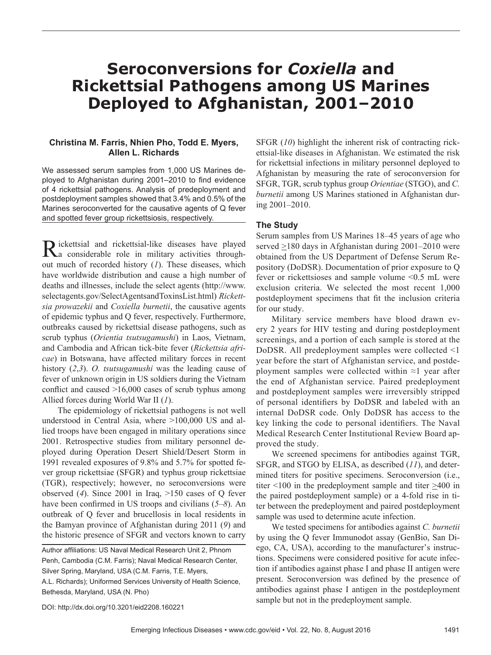# **Seroconversions for** *Coxiella* **and Rickettsial Pathogens among US Marines Deployed to Afghanistan, 2001–2010**

## **Christina M. Farris, Nhien Pho, Todd E. Myers, Allen L. Richards**

We assessed serum samples from 1,000 US Marines deployed to Afghanistan during 2001–2010 to find evidence of 4 rickettsial pathogens. Analysis of predeployment and postdeployment samples showed that 3.4% and 0.5% of the Marines seroconverted for the causative agents of Q fever and spotted fever group rickettsiosis, respectively.

Rickettsial and rickettsial-like diseases have played considerable role in military activities throughout much of recorded history (*1*). These diseases, which have worldwide distribution and cause a high number of deaths and illnesses, include the select agents (http://www. selectagents.gov/SelectAgentsandToxinsList.html) *Rickettsia prowazekii* and *Coxiella burnetii*, the causative agents of epidemic typhus and Q fever, respectively. Furthermore, outbreaks caused by rickettsial disease pathogens, such as scrub typhus (*Orientia tsutsugamushi*) in Laos, Vietnam, and Cambodia and African tick-bite fever (*Rickettsia africae*) in Botswana, have affected military forces in recent history (*2*,*3*). *O. tsutsugamushi* was the leading cause of fever of unknown origin in US soldiers during the Vietnam conflict and caused >16,000 cases of scrub typhus among Allied forces during World War II (*1*).

The epidemiology of rickettsial pathogens is not well understood in Central Asia, where >100,000 US and allied troops have been engaged in military operations since 2001. Retrospective studies from military personnel deployed during Operation Desert Shield/Desert Storm in 1991 revealed exposures of 9.8% and 5.7% for spotted fever group rickettsiae (SFGR) and typhus group rickettsiae (TGR), respectively; however, no seroconversions were observed (*4*). Since 2001 in Iraq, >150 cases of Q fever have been confirmed in US troops and civilians (*5*–*8*). An outbreak of Q fever and brucellosis in local residents in the Bamyan province of Afghanistan during 2011 (*9*) and the historic presence of SFGR and vectors known to carry

Author affiliations: US Naval Medical Research Unit 2, Phnom Penh, Cambodia (C.M. Farris); Naval Medical Research Center, Silver Spring, Maryland, USA (C.M. Farris, T.E. Myers, A.L. Richards); Uniformed Services University of Health Science, Bethesda, Maryland, USA (N. Pho)

SFGR (*10*) highlight the inherent risk of contracting rickettsial-like diseases in Afghanistan. We estimated the risk for rickettsial infections in military personnel deployed to Afghanistan by measuring the rate of seroconversion for SFGR, TGR, scrub typhus group *Orientiae* (STGO), and *C. burnetii* among US Marines stationed in Afghanistan during 2001–2010.

### **The Study**

Serum samples from US Marines 18–45 years of age who served >180 days in Afghanistan during 2001–2010 were obtained from the US Department of Defense Serum Repository (DoDSR). Documentation of prior exposure to Q fever or rickettsioses and sample volume <0.5 mL were exclusion criteria. We selected the most recent 1,000 postdeployment specimens that fit the inclusion criteria for our study.

Military service members have blood drawn every 2 years for HIV testing and during postdeployment screenings, and a portion of each sample is stored at the DoDSR. All predeployment samples were collected <1 year before the start of Afghanistan service, and postdeployment samples were collected within ≈1 year after the end of Afghanistan service. Paired predeployment and postdeployment samples were irreversibly stripped of personal identifiers by DoDSR and labeled with an internal DoDSR code. Only DoDSR has access to the key linking the code to personal identifiers. The Naval Medical Research Center Institutional Review Board approved the study.

We screened specimens for antibodies against TGR, SFGR, and STGO by ELISA, as described (*11*), and determined titers for positive specimens. Seroconversion (i.e., titer  $\leq 100$  in the predeployment sample and titer  $\geq 400$  in the paired postdeployment sample) or a 4-fold rise in titer between the predeployment and paired postdeployment sample was used to determine acute infection.

We tested specimens for antibodies against *C. burnetii* by using the Q fever Immunodot assay (GenBio, San Diego, CA, USA), according to the manufacturer's instructions. Specimens were considered positive for acute infection if antibodies against phase I and phase II antigen were present. Seroconversion was defined by the presence of antibodies against phase I antigen in the postdeployment sample but not in the predeployment sample.

DOI: http://dx.doi.org/10.3201/eid2208.160221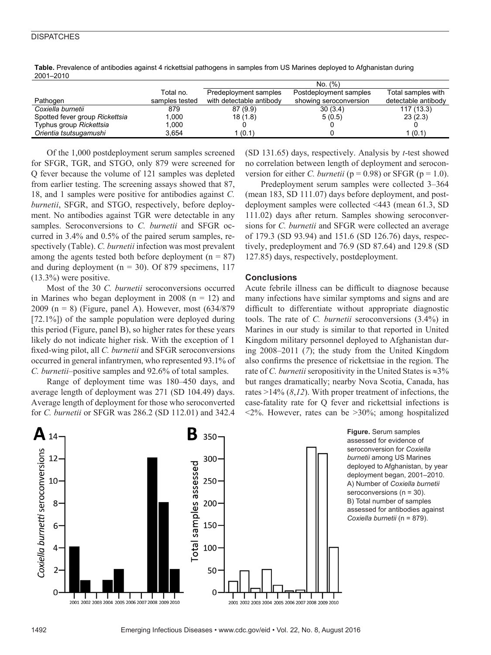#### **DISPATCHES**

| -------                        |                |                          |                        |                     |
|--------------------------------|----------------|--------------------------|------------------------|---------------------|
|                                |                |                          | No. (%)                |                     |
|                                | Total no.      | Predeployment samples    | Postdeployment samples | Total samples with  |
| Pathogen                       | samples tested | with detectable antibody | showing seroconversion | detectable antibody |
| Coxiella burnetii              | 879            | 87(9.9)                  | 30(3.4)                | 117(13.3)           |
| Spotted fever group Rickettsia | 1.000          | 18(1.8)                  | 5(0.5)                 | 23(2.3)             |
| Typhus group Rickettsia        | 1.000          |                          |                        |                     |
| Orientia tsutsugamushi         | 3.654          | 1(0.1)                   |                        | 1(0.1)              |

Table. Prevalence of antibodies against 4 rickettsial pathogens in samples from US Marines deployed to Afghanistan during 2001–2010

Of the 1,000 postdeployment serum samples screened for SFGR, TGR, and STGO, only 879 were screened for Q fever because the volume of 121 samples was depleted from earlier testing. The screening assays showed that 87, 18, and 1 samples were positive for antibodies against *C. burnetii*, SFGR, and STGO, respectively, before deployment. No antibodies against TGR were detectable in any samples. Seroconversions to *C. burnetii* and SFGR occurred in 3.4% and 0.5% of the paired serum samples, respectively (Table). *C. burnetii* infection was most prevalent among the agents tested both before deployment ( $n = 87$ ) and during deployment ( $n = 30$ ). Of 879 specimens, 117 (13.3%) were positive.

Most of the 30 *C. burnetii* seroconversions occurred in Marines who began deployment in 2008  $(n = 12)$  and 2009 (n = 8) (Figure, panel A). However, most (634/879 [72.1%]) of the sample population were deployed during this period (Figure, panel B), so higher rates for these years likely do not indicate higher risk. With the exception of 1 fixed-wing pilot, all *C. burnetii* and SFGR seroconversions occurred in general infantrymen, who represented 93.1% of *C. burnetii*–positive samples and 92.6% of total samples.

Range of deployment time was 180–450 days, and average length of deployment was 271 (SD 104.49) days. Average length of deployment for those who seroconverted for *C. burnetii* or SFGR was 286.2 (SD 112.01) and 342.4 (SD 131.65) days, respectively. Analysis by *t*-test showed no correlation between length of deployment and seroconversion for either *C. burnetii* ( $p = 0.98$ ) or SFGR ( $p = 1.0$ ).

Predeployment serum samples were collected 3–364 (mean 183, SD 111.07) days before deployment, and postdeployment samples were collected <443 (mean 61.3, SD 111.02) days after return. Samples showing seroconversions for *C. burnetii* and SFGR were collected an average of 179.3 (SD 93.94) and 151.6 (SD 126.76) days, respectively, predeployment and 76.9 (SD 87.64) and 129.8 (SD 127.85) days, respectively, postdeployment.

## **Conclusions**

Acute febrile illness can be difficult to diagnose because many infections have similar symptoms and signs and are difficult to differentiate without appropriate diagnostic tools. The rate of *C. burnetii* seroconversions (3.4%) in Marines in our study is similar to that reported in United Kingdom military personnel deployed to Afghanistan during 2008–2011 (*7*); the study from the United Kingdom also confirms the presence of rickettsiae in the region. The rate of *C. burnetii* seropositivity in the United States is ≈3% but ranges dramatically; nearby Nova Scotia, Canada, has rates >14% (*8*,*12*). With proper treatment of infections, the case-fatality rate for Q fever and rickettsial infections is  $\langle 2\%$ . However, rates can be  $>30\%$ ; among hospitalized



**Figure.** Serum samples assessed for evidence of seroconversion for *Coxiella burnetii* among US Marines deployed to Afghanistan, by year deployment began, 2001–2010. A) Number of *Coxiella burnetii*  seroconversions (n = 30). B) Total number of samples assessed for antibodies against *Coxiella burnetii* (n = 879).